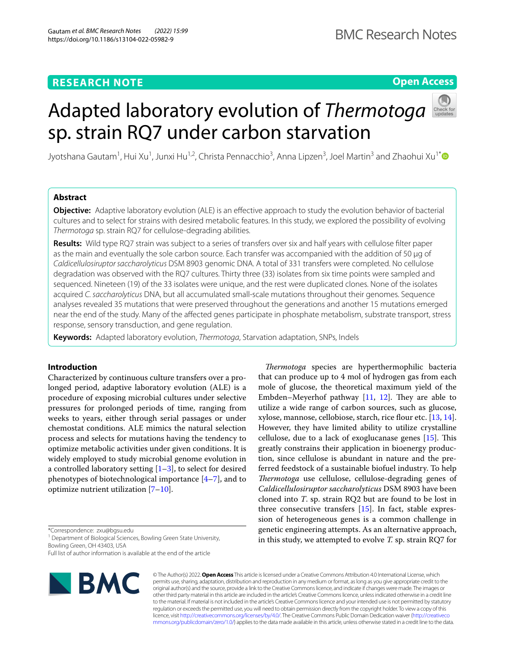# **RESEARCH NOTE**

**Open Access**

# Adapted laboratory evolution of *Thermotoga* sp. strain RQ7 under carbon starvation



Jyotshana Gautam<sup>1</sup>, Hui Xu<sup>1</sup>, Junxi Hu<sup>1,2</sup>, Christa Pennacchio<sup>3</sup>, Anna Lipzen<sup>3</sup>, Joel Martin<sup>3</sup> and Zhaohui Xu<sup>1[\\*](http://orcid.org/0000-0002-1866-3254)</sup>

## **Abstract**

**Objective:** Adaptive laboratory evolution (ALE) is an efective approach to study the evolution behavior of bacterial cultures and to select for strains with desired metabolic features. In this study, we explored the possibility of evolving *Thermotoga* sp. strain RQ7 for cellulose-degrading abilities.

**Results:** Wild type RQ7 strain was subject to a series of transfers over six and half years with cellulose flter paper as the main and eventually the sole carbon source. Each transfer was accompanied with the addition of 50 μg of *Caldicellulosiruptor saccharolyticus* DSM 8903 genomic DNA. A total of 331 transfers were completed. No cellulose degradation was observed with the RQ7 cultures. Thirty three (33) isolates from six time points were sampled and sequenced. Nineteen (19) of the 33 isolates were unique, and the rest were duplicated clones. None of the isolates acquired *C. saccharolyticus* DNA, but all accumulated small-scale mutations throughout their genomes. Sequence analyses revealed 35 mutations that were preserved throughout the generations and another 15 mutations emerged near the end of the study. Many of the afected genes participate in phosphate metabolism, substrate transport, stress response, sensory transduction, and gene regulation.

**Keywords:** Adapted laboratory evolution, *Thermotoga*, Starvation adaptation, SNPs, Indels

## **Introduction**

Characterized by continuous culture transfers over a prolonged period, adaptive laboratory evolution (ALE) is a procedure of exposing microbial cultures under selective pressures for prolonged periods of time, ranging from weeks to years, either through serial passages or under chemostat conditions. ALE mimics the natural selection process and selects for mutations having the tendency to optimize metabolic activities under given conditions. It is widely employed to study microbial genome evolution in a controlled laboratory setting  $[1-3]$  $[1-3]$ , to select for desired phenotypes of biotechnological importance [[4](#page-5-2)[–7](#page-5-3)], and to optimize nutrient utilization  $[7-10]$  $[7-10]$  $[7-10]$ .

\*Correspondence: zxu@bgsu.edu

<sup>1</sup> Department of Biological Sciences, Bowling Green State University, Bowling Green, OH 43403, USA

Full list of author information is available at the end of the article



© The Author(s) 2022. **Open Access** This article is licensed under a Creative Commons Attribution 4.0 International License, which permits use, sharing, adaptation, distribution and reproduction in any medium or format, as long as you give appropriate credit to the original author(s) and the source, provide a link to the Creative Commons licence, and indicate if changes were made. The images or other third party material in this article are included in the article's Creative Commons licence, unless indicated otherwise in a credit line to the material. If material is not included in the article's Creative Commons licence and your intended use is not permitted by statutory regulation or exceeds the permitted use, you will need to obtain permission directly from the copyright holder. To view a copy of this licence, visit [http://creativecommons.org/licenses/by/4.0/.](http://creativecommons.org/licenses/by/4.0/) The Creative Commons Public Domain Dedication waiver ([http://creativeco](http://creativecommons.org/publicdomain/zero/1.0/) sion of heterogeneous genes is a common challenge in genetic engineering attempts. As an alternative approach, in this study, we attempted to evolve *T.* sp. strain RQ7 for

*Thermotoga* species are hyperthermophilic bacteria that can produce up to 4 mol of hydrogen gas from each mole of glucose, the theoretical maximum yield of the Embden–Meyerhof pathway  $[11, 12]$  $[11, 12]$  $[11, 12]$  $[11, 12]$ . They are able to utilize a wide range of carbon sources, such as glucose, xylose, mannose, cellobiose, starch, rice flour etc. [\[13,](#page-6-3) [14](#page-6-4)]. However, they have limited ability to utilize crystalline cellulose, due to a lack of exoglucanase genes  $[15]$  $[15]$ . This greatly constrains their application in bioenergy production, since cellulose is abundant in nature and the preferred feedstock of a sustainable biofuel industry. To help *Thermotoga* use cellulose, cellulose-degrading genes of *Caldicellulosiruptor saccharolyticus* DSM 8903 have been cloned into *T*. sp. strain RQ2 but are found to be lost in three consecutive transfers [[15\]](#page-6-5). In fact, stable expres-

[mmons.org/publicdomain/zero/1.0/](http://creativecommons.org/publicdomain/zero/1.0/)) applies to the data made available in this article, unless otherwise stated in a credit line to the data.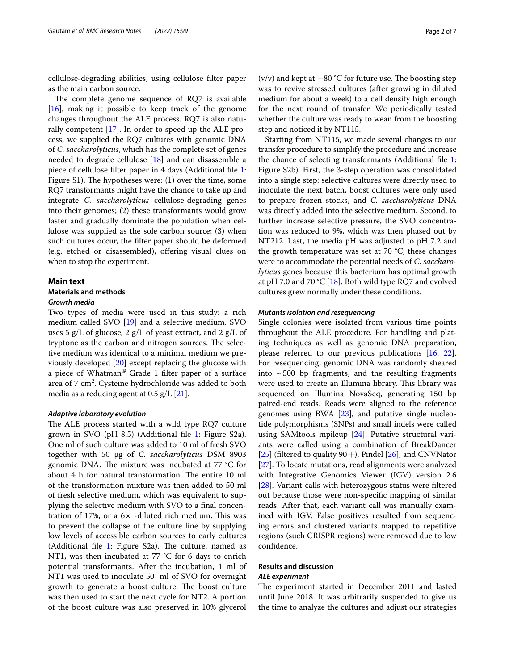cellulose-degrading abilities, using cellulose flter paper as the main carbon source.

The complete genome sequence of RQ7 is available [[16\]](#page-6-6), making it possible to keep track of the genome changes throughout the ALE process. RQ7 is also naturally competent [[17\]](#page-6-7). In order to speed up the ALE process, we supplied the RQ7 cultures with genomic DNA of *C. saccharolyticus*, which has the complete set of genes needed to degrade cellulose [\[18](#page-6-8)] and can disassemble a piece of cellulose flter paper in 4 days (Additional fle [1](#page-5-4): Figure S1). The hypotheses were:  $(1)$  over the time, some RQ7 transformants might have the chance to take up and integrate *C. saccharolyticus* cellulose-degrading genes into their genomes; (2) these transformants would grow faster and gradually dominate the population when cellulose was supplied as the sole carbon source; (3) when such cultures occur, the flter paper should be deformed (e.g. etched or disassembled), ofering visual clues on when to stop the experiment.

## **Main text**

## **Materials and methods** *Growth media*

Two types of media were used in this study: a rich medium called SVO [[19\]](#page-6-9) and a selective medium. SVO uses 5 g/L of glucose, 2 g/L of yeast extract, and 2 g/L of tryptone as the carbon and nitrogen sources. The selective medium was identical to a minimal medium we previously developed [\[20](#page-6-10)] except replacing the glucose with a piece of Whatman® Grade 1 flter paper of a surface area of 7 cm<sup>2</sup>. Cysteine hydrochloride was added to both media as a reducing agent at 0.5 g/L [\[21](#page-6-11)].

#### *Adaptive laboratory evolution*

The ALE process started with a wild type RQ7 culture grown in SVO (pH 8.5) (Additional fle [1](#page-5-4): Figure S2a). One ml of such culture was added to 10 ml of fresh SVO together with 50 μg of *C. saccharolyticus* DSM 8903 genomic DNA. The mixture was incubated at  $77 \text{ °C}$  for about 4 h for natural transformation. The entire 10 ml of the transformation mixture was then added to 50 ml of fresh selective medium, which was equivalent to supplying the selective medium with SVO to a fnal concentration of 17%, or a  $6\times$  -diluted rich medium. This was to prevent the collapse of the culture line by supplying low levels of accessible carbon sources to early cultures (Additional file  $1$ : Figure S2a). The culture, named as NT1, was then incubated at 77 °C for 6 days to enrich potential transformants. After the incubation, 1 ml of NT1 was used to inoculate 50 ml of SVO for overnight growth to generate a boost culture. The boost culture was then used to start the next cycle for NT2. A portion of the boost culture was also preserved in 10% glycerol (v/v) and kept at  $-80$  °C for future use. The boosting step was to revive stressed cultures (after growing in diluted medium for about a week) to a cell density high enough for the next round of transfer. We periodically tested whether the culture was ready to wean from the boosting step and noticed it by NT115.

Starting from NT115, we made several changes to our transfer procedure to simplify the procedure and increase the chance of selecting transformants (Additional fle [1](#page-5-4): Figure S2b). First, the 3-step operation was consolidated into a single step: selective cultures were directly used to inoculate the next batch, boost cultures were only used to prepare frozen stocks, and *C. saccharolyticus* DNA was directly added into the selective medium. Second, to further increase selective pressure, the SVO concentration was reduced to 9%, which was then phased out by NT212. Last, the media pH was adjusted to pH 7.2 and the growth temperature was set at 70 °C; these changes were to accommodate the potential needs of *C. saccharolyticus* genes because this bacterium has optimal growth at pH 7.0 and 70 °C [\[18\]](#page-6-8). Both wild type RQ7 and evolved cultures grew normally under these conditions.

#### *Mutants isolation and resequencing*

Single colonies were isolated from various time points throughout the ALE procedure. For handling and plating techniques as well as genomic DNA preparation, please referred to our previous publications [[16,](#page-6-6) [22](#page-6-12)]. For resequencing, genomic DNA was randomly sheared into  $\sim$  500 bp fragments, and the resulting fragments were used to create an Illumina library. This library was sequenced on Illumina NovaSeq, generating 150 bp paired-end reads. Reads were aligned to the reference genomes using BWA [\[23\]](#page-6-13), and putative single nucleotide polymorphisms (SNPs) and small indels were called using SAMtools mpileup [[24\]](#page-6-14). Putative structural variants were called using a combination of BreakDancer [[25\]](#page-6-15) (filtered to quality  $90 +$ ), Pindel [[26\]](#page-6-16), and CNVNator [[27\]](#page-6-17). To locate mutations, read alignments were analyzed with Integrative Genomics Viewer (IGV) version 2.6 [[28\]](#page-6-18). Variant calls with heterozygous status were fltered out because those were non-specifc mapping of similar reads. After that, each variant call was manually examined with IGV. False positives resulted from sequencing errors and clustered variants mapped to repetitive regions (such CRISPR regions) were removed due to low confdence.

## **Results and discussion** *ALE experiment*

The experiment started in December 2011 and lasted until June 2018. It was arbitrarily suspended to give us the time to analyze the cultures and adjust our strategies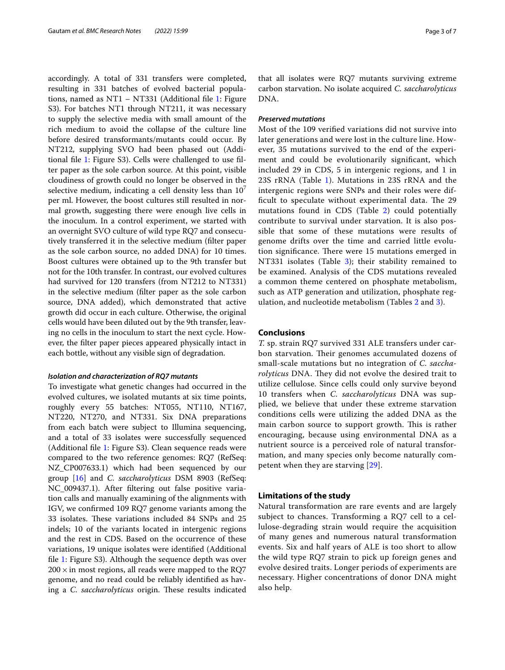accordingly. A total of 331 transfers were completed, resulting in 331 batches of evolved bacterial populations, named as NT1 – NT331 (Additional fle [1](#page-5-4): Figure S3). For batches NT1 through NT211, it was necessary to supply the selective media with small amount of the rich medium to avoid the collapse of the culture line before desired transformants/mutants could occur. By NT212, supplying SVO had been phased out (Additional fle [1](#page-5-4): Figure S3). Cells were challenged to use flter paper as the sole carbon source. At this point, visible cloudiness of growth could no longer be observed in the selective medium, indicating a cell density less than  $10<sup>7</sup>$ per ml. However, the boost cultures still resulted in normal growth, suggesting there were enough live cells in the inoculum. In a control experiment, we started with an overnight SVO culture of wild type RQ7 and consecutively transferred it in the selective medium (flter paper as the sole carbon source, no added DNA) for 10 times. Boost cultures were obtained up to the 9th transfer but not for the 10th transfer. In contrast, our evolved cultures had survived for 120 transfers (from NT212 to NT331) in the selective medium (flter paper as the sole carbon source, DNA added), which demonstrated that active growth did occur in each culture. Otherwise, the original cells would have been diluted out by the 9th transfer, leaving no cells in the inoculum to start the next cycle. However, the flter paper pieces appeared physically intact in each bottle, without any visible sign of degradation.

#### *Isolation and characterization of RQ7 mutants*

To investigate what genetic changes had occurred in the evolved cultures, we isolated mutants at six time points, roughly every 55 batches: NT055, NT110, NT167, NT220, NT270, and NT331. Six DNA preparations from each batch were subject to Illumina sequencing, and a total of 33 isolates were successfully sequenced (Additional fle [1:](#page-5-4) Figure S3). Clean sequence reads were compared to the two reference genomes: RQ7 (RefSeq: NZ\_CP007633.1) which had been sequenced by our group [[16\]](#page-6-6) and *C. saccharolyticus* DSM 8903 (RefSeq: NC\_009437.1). After fltering out false positive variation calls and manually examining of the alignments with IGV, we confrmed 109 RQ7 genome variants among the 33 isolates. These variations included 84 SNPs and 25 indels; 10 of the variants located in intergenic regions and the rest in CDS. Based on the occurrence of these variations, 19 unique isolates were identifed (Additional fle [1:](#page-5-4) Figure S3). Although the sequence depth was over  $200 \times$  in most regions, all reads were mapped to the RQ7 genome, and no read could be reliably identifed as having a *C. saccharolyticus* origin. These results indicated that all isolates were RQ7 mutants surviving extreme carbon starvation. No isolate acquired *C. saccharolyticus* DNA.

## *Preserved mutations*

Most of the 109 verifed variations did not survive into later generations and were lost in the culture line. However, 35 mutations survived to the end of the experiment and could be evolutionarily signifcant, which included 29 in CDS, 5 in intergenic regions, and 1 in 23S rRNA (Table [1](#page-3-0)). Mutations in 23S rRNA and the intergenic regions were SNPs and their roles were difficult to speculate without experimental data. The 29 mutations found in CDS (Table [2\)](#page-4-0) could potentially contribute to survival under starvation. It is also possible that some of these mutations were results of genome drifts over the time and carried little evolution significance. There were 15 mutations emerged in NT331 isolates (Table [3\)](#page-5-5); their stability remained to be examined. Analysis of the CDS mutations revealed a common theme centered on phosphate metabolism, such as ATP generation and utilization, phosphate regulation, and nucleotide metabolism (Tables [2](#page-3-0) and [3\)](#page-5-5).

## **Conclusions**

*T.* sp. strain RQ7 survived 331 ALE transfers under carbon starvation. Their genomes accumulated dozens of small-scale mutations but no integration of *C. saccharolyticus* DNA. They did not evolve the desired trait to utilize cellulose. Since cells could only survive beyond 10 transfers when *C. saccharolyticus* DNA was supplied, we believe that under these extreme starvation conditions cells were utilizing the added DNA as the main carbon source to support growth. This is rather encouraging, because using environmental DNA as a nutrient source is a perceived role of natural transformation, and many species only become naturally competent when they are starving [[29\]](#page-6-19).

## **Limitations of the study**

Natural transformation are rare events and are largely subject to chances. Transforming a RQ7 cell to a cellulose-degrading strain would require the acquisition of many genes and numerous natural transformation events. Six and half years of ALE is too short to allow the wild type RQ7 strain to pick up foreign genes and evolve desired traits. Longer periods of experiments are necessary. Higher concentrations of donor DNA might also help.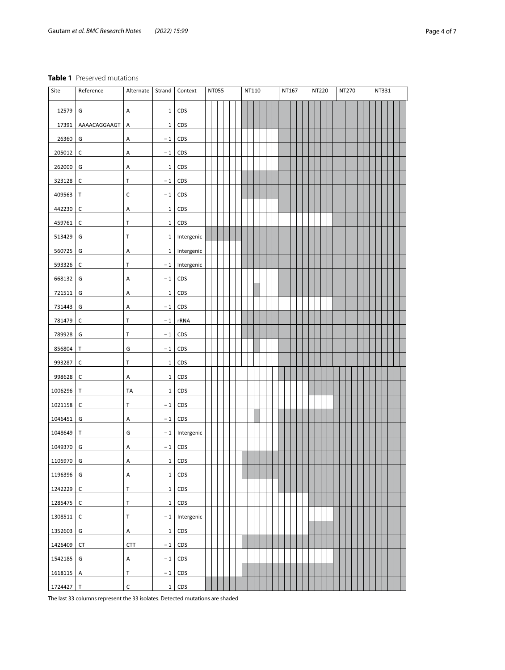## <span id="page-3-0"></span>**Table 1** Preserved mutations

| Site    | Reference    | Alternate   | Strand       | Context    | <b>NT055</b> |  | NT110 |  |  | NT167 |  | <b>NT220</b> |  | NT270 |  | NT331 |  |  |  |  |  |  |  |  |
|---------|--------------|-------------|--------------|------------|--------------|--|-------|--|--|-------|--|--------------|--|-------|--|-------|--|--|--|--|--|--|--|--|
| 12579   | G            | А           | $\mathbf{1}$ | CDS        |              |  |       |  |  |       |  |              |  |       |  |       |  |  |  |  |  |  |  |  |
| 17391   | AAAACAGGAAGT | Α           | $\mathbf{1}$ | CDS        |              |  |       |  |  |       |  |              |  |       |  |       |  |  |  |  |  |  |  |  |
| 26360   | G            | Α           | $-1$         | CDS        |              |  |       |  |  |       |  |              |  |       |  |       |  |  |  |  |  |  |  |  |
| 205012  | $\mathsf C$  | А           | $-1$         | CDS        |              |  |       |  |  |       |  |              |  |       |  |       |  |  |  |  |  |  |  |  |
| 262000  | G            | Α           | $\,1\,$      | CDS        |              |  |       |  |  |       |  |              |  |       |  |       |  |  |  |  |  |  |  |  |
| 323128  | $\mathsf C$  | т           | $-1$         | CDS        |              |  |       |  |  |       |  |              |  |       |  |       |  |  |  |  |  |  |  |  |
| 409563  | Τ            | C           | $-1$         | CDS        |              |  |       |  |  |       |  |              |  |       |  |       |  |  |  |  |  |  |  |  |
| 442230  | $\mathsf C$  | А           | $\mathbf{1}$ | CDS        |              |  |       |  |  |       |  |              |  |       |  |       |  |  |  |  |  |  |  |  |
| 459761  | C            | Т           | $\mathbf{1}$ | CDS        |              |  |       |  |  |       |  |              |  |       |  |       |  |  |  |  |  |  |  |  |
| 513429  | G            | Τ           | $\mathbf{1}$ | Intergenic |              |  |       |  |  |       |  |              |  |       |  |       |  |  |  |  |  |  |  |  |
| 560725  | G            | Α           | $\mathbf{1}$ | Intergenic |              |  |       |  |  |       |  |              |  |       |  |       |  |  |  |  |  |  |  |  |
| 593326  | $\mathsf C$  | Т           | $-1$         | Intergenic |              |  |       |  |  |       |  |              |  |       |  |       |  |  |  |  |  |  |  |  |
| 668132  | G            | Α           | $-1$         | CDS        |              |  |       |  |  |       |  |              |  |       |  |       |  |  |  |  |  |  |  |  |
| 721511  | G            | Α           | $\mathbf{1}$ | CDS        |              |  |       |  |  |       |  |              |  |       |  |       |  |  |  |  |  |  |  |  |
| 731443  | G            | Α           | $-1$         | CDS        |              |  |       |  |  |       |  |              |  |       |  |       |  |  |  |  |  |  |  |  |
| 781479  | $\mathsf C$  | т           | $-1$         | rRNA       |              |  |       |  |  |       |  |              |  |       |  |       |  |  |  |  |  |  |  |  |
| 789928  | G            | Т           | $-1$         | CDS        |              |  |       |  |  |       |  |              |  |       |  |       |  |  |  |  |  |  |  |  |
| 856804  | Τ            | G           | $-1$         | CDS        |              |  |       |  |  |       |  |              |  |       |  |       |  |  |  |  |  |  |  |  |
| 993287  | C            | Т           | $\mathbf{1}$ | CDS        |              |  |       |  |  |       |  |              |  |       |  |       |  |  |  |  |  |  |  |  |
| 998628  | C            | Α           | $\mathbf{1}$ | CDS        |              |  |       |  |  |       |  |              |  |       |  |       |  |  |  |  |  |  |  |  |
| 1006296 | Τ            | <b>TA</b>   | $\mathbf{1}$ | CDS        |              |  |       |  |  |       |  |              |  |       |  |       |  |  |  |  |  |  |  |  |
| 1021158 | C            | Τ           | $-1$         | CDS        |              |  |       |  |  |       |  |              |  |       |  |       |  |  |  |  |  |  |  |  |
| 1046451 | G            | А           | $-1$         | CDS        |              |  |       |  |  |       |  |              |  |       |  |       |  |  |  |  |  |  |  |  |
| 1048649 | т            | G           | $-1$         | Intergenic |              |  |       |  |  |       |  |              |  |       |  |       |  |  |  |  |  |  |  |  |
| 1049370 | G            | Α           | $-1$         | CDS        |              |  |       |  |  |       |  |              |  |       |  |       |  |  |  |  |  |  |  |  |
| 1105970 | G            | A           | $\mathbf{1}$ | CDS        |              |  |       |  |  |       |  |              |  |       |  |       |  |  |  |  |  |  |  |  |
| 1196396 | G            | Α           | $\mathbf{1}$ | CDS        |              |  |       |  |  |       |  |              |  |       |  |       |  |  |  |  |  |  |  |  |
| 1242229 | $\mathsf C$  | Τ           | $\mathbf{1}$ | CDS        |              |  |       |  |  |       |  |              |  |       |  |       |  |  |  |  |  |  |  |  |
| 1285475 | $\mathsf C$  | T           | $\mathbf{1}$ | CDS        |              |  |       |  |  |       |  |              |  |       |  |       |  |  |  |  |  |  |  |  |
| 1308511 | C            | T           | $-1$         | Intergenic |              |  |       |  |  |       |  |              |  |       |  |       |  |  |  |  |  |  |  |  |
| 1352603 | G            | А           | $\mathbf{1}$ | CDS        |              |  |       |  |  |       |  |              |  |       |  |       |  |  |  |  |  |  |  |  |
| 1426409 | <b>CT</b>    | <b>CTT</b>  | $-1$         | CDS        |              |  |       |  |  |       |  |              |  |       |  |       |  |  |  |  |  |  |  |  |
| 1542185 | G            | А           | $-1$         | CDS        |              |  |       |  |  |       |  |              |  |       |  |       |  |  |  |  |  |  |  |  |
| 1618115 | А            | T           | $-1$         | CDS        |              |  |       |  |  |       |  |              |  |       |  |       |  |  |  |  |  |  |  |  |
| 1724427 | $\mathsf T$  | $\mathsf C$ | $1\vert$     | CDS        |              |  |       |  |  |       |  |              |  |       |  |       |  |  |  |  |  |  |  |  |

The last 33 columns represent the 33 isolates. Detected mutations are shaded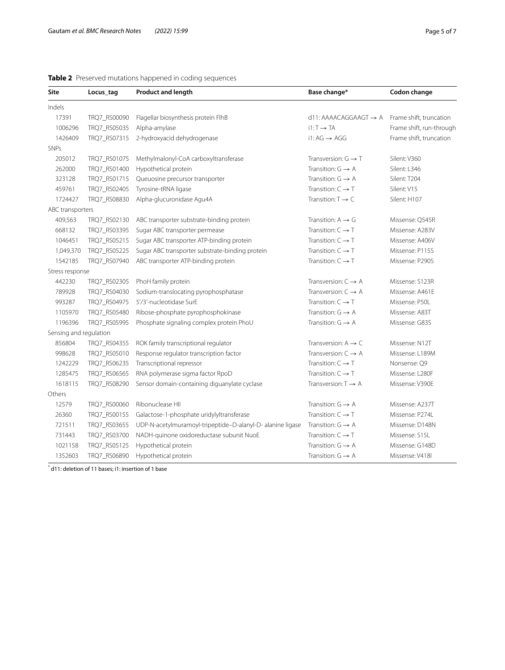| <b>Site</b>            | Locus_tag    | <b>Product and length</b>                                  | Base change*                      | Codon change             |
|------------------------|--------------|------------------------------------------------------------|-----------------------------------|--------------------------|
| Indels                 |              |                                                            |                                   |                          |
| 17391                  | TRQ7_RS00090 | Flagellar biosynthesis protein FlhB                        | $d11: AAAACAGGAAGT \rightarrow A$ | Frame shift, truncation  |
| 1006296                | TRQ7_RS05035 | Alpha-amylase                                              | $i1: T \rightarrow TA$            | Frame shift, run-through |
| 1426409                | TRQ7_RS07315 | 2-hydroxyacid dehydrogenase                                | $i1:AG \rightarrow AGG$           | Frame shift, truncation  |
| <b>SNPs</b>            |              |                                                            |                                   |                          |
| 205012                 | TRQ7_RS01075 | Methylmalonyl-CoA carboxyltransferase                      | Transversion: $G \rightarrow T$   | Silent: V360             |
| 262000                 | TRQ7_RS01400 | Hypothetical protein                                       | Transition: $G \rightarrow A$     | Silent: L346             |
| 323128                 | TRQ7_RS01715 | Queuosine precursor transporter                            | Transition: $G \rightarrow A$     | Silent: T204             |
| 459761                 | TRQ7_RS02405 | Tyrosine-tRNA ligase                                       | Transition: $C \rightarrow T$     | Silent: V15              |
| 1724427                | TRQ7_RS08830 | Alpha-glucuronidase Agu4A                                  | Transition: $T \rightarrow C$     | Silent: H107             |
| ABC transporters       |              |                                                            |                                   |                          |
| 409,563                | TRQ7_RS02130 | ABC transporter substrate-binding protein                  | Transition: $A \rightarrow G$     | Missense: Q545R          |
| 668132                 | TRQ7_RS03395 | Sugar ABC transporter permease                             | Transition: $C \rightarrow T$     | Missense: A283V          |
| 1046451                | TRQ7_RS05215 | Sugar ABC transporter ATP-binding protein                  | Transition: $C \rightarrow T$     | Missense: A406V          |
| 1,049,370              | TRQ7_RS05225 | Sugar ABC transporter substrate-binding protein            | Transition: $C \rightarrow T$     | Missense: P115S          |
| 1542185                | TRQ7_RS07940 | ABC transporter ATP-binding protein                        | Transition: $C \rightarrow T$     | Missense: P290S          |
| Stress response        |              |                                                            |                                   |                          |
| 442230                 | TRQ7_RS02305 | PhoH family protein                                        | Transversion: $C \rightarrow A$   | Missense: S123R          |
| 789928                 | TRQ7_RS04030 | Sodium-translocating pyrophosphatase                       | Transversion: $C \rightarrow A$   | Missense: A461E          |
| 993287                 | TRQ7_RS04975 | 5'/3'-nucleotidase SurE                                    | Transition: $C \rightarrow T$     | Missense: P50L           |
| 1105970                | TRQ7_RS05480 | Ribose-phosphate pyrophosphokinase                         | Transition: $G \rightarrow A$     | Missense: A83T           |
| 1196396                | TRQ7_RS05995 | Phosphate signaling complex protein PhoU                   | Transition: $G \rightarrow A$     | Missense: G83S           |
| Sensing and regulation |              |                                                            |                                   |                          |
| 856804                 | TRQ7_RS04355 | ROK family transcriptional regulator                       | Transversion: $A \rightarrow C$   | Missense: N12T           |
| 998628                 | TRQ7_RS05010 | Response regulator transcription factor                    | Transversion: $C \rightarrow A$   | Missense: L189M          |
| 1242229                | TRQ7_RS06235 | Transcriptional repressor                                  | Transition: $C \rightarrow T$     | Nonsense: Q9             |
| 1285475                | TRQ7_RS06565 | RNA polymerase sigma factor RpoD                           | Transition: $C \rightarrow T$     | Missense: L280F          |
| 1618115                | TRQ7_RS08290 | Sensor domain-containing diguanylate cyclase               | Transversion: $T \rightarrow A$   | Missense: V390E          |
| Others                 |              |                                                            |                                   |                          |
| 12579                  | TRQ7_RS00060 | Ribonuclease HII                                           | Transition: $G \rightarrow A$     | Missense: A237T          |
| 26360                  | TRQ7_RS00155 | Galactose-1-phosphate uridylyltransferase                  | Transition: $C \rightarrow T$     | Missense: P274L          |
| 721511                 | TRQ7_RS03655 | UDP-N-acetylmuramoyl-tripeptide-D-alanyl-D- alanine ligase | Transition: $G \rightarrow A$     | Missense: D148N          |
| 731443                 | TRQ7_RS03700 | NADH-quinone oxidoreductase subunit NuoE                   | Transition: $C \rightarrow T$     | Missense: S15L           |
| 1021158                | TRQ7_RS05125 | Hypothetical protein                                       | Transition: $G \rightarrow A$     | Missense: G148D          |
| 1352603                | TRQ7_RS06890 | Hypothetical protein                                       | Transition: $G \rightarrow A$     | Missense: V418I          |

# <span id="page-4-0"></span>**Table 2** Preserved mutations happened in coding sequences

\* d11: deletion of 11 bases; i1: insertion of 1 base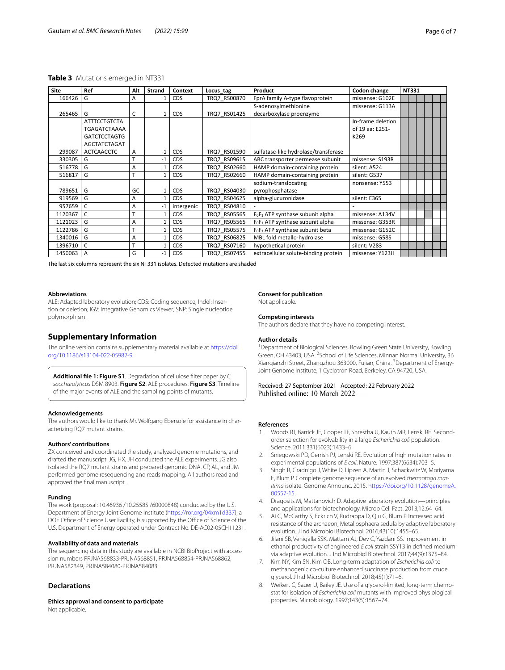#### <span id="page-5-5"></span>**Table 3** Mutations emerged in NT331

| <b>Site</b> | Ref                 | Alt | Strand       | Context    | Locus_tag            | Product                                                  | Codon change      | <b>NT331</b> |  |  |
|-------------|---------------------|-----|--------------|------------|----------------------|----------------------------------------------------------|-------------------|--------------|--|--|
| 166426      | G                   | A   | 1            | <b>CDS</b> | TRQ7 RS00870         | FprA family A-type flavoprotein                          | missense: G102E   |              |  |  |
|             |                     |     |              |            |                      | S-adenosylmethionine                                     | missense: G113A   |              |  |  |
| 265465      | G                   | C   | $\mathbf{1}$ | <b>CDS</b> | TRQ7 RS01425         | decarboxylase proenzyme                                  |                   |              |  |  |
|             | <b>ATTTCCTGTCTA</b> |     |              |            |                      |                                                          | In-frame deletion |              |  |  |
|             | <b>TGAGATCTAAAA</b> |     |              |            |                      | of 19 aa: E251-                                          |                   |              |  |  |
|             | <b>GATCTCCTAGTG</b> |     |              |            |                      |                                                          | K269              |              |  |  |
|             | AGCTATCTAGAT        |     |              |            |                      |                                                          |                   |              |  |  |
| 299087      | <b>ACTCAACCTC</b>   | A   | $-1$         | <b>CDS</b> | TRQ7 RS01590         | sulfatase-like hydrolase/transferase                     |                   |              |  |  |
| 330305      | G                   |     | $-1$         | CDS        | TRQ7 RS09615         | ABC transporter permease subunit                         | missense: S193R   |              |  |  |
| 516778      | G                   | A   |              | <b>CDS</b> | TRQ7 RS02660         | HAMP domain-containing protein                           | silent: A524      |              |  |  |
| 516817      | G                   | T   |              | <b>CDS</b> | TRQ7 RS02660         | HAMP domain-containing protein                           | silent: G537      |              |  |  |
|             |                     |     |              |            | sodium-translocating |                                                          | nonsense: Y553    |              |  |  |
| 789651      | G                   | GC  | $-1$         | CDS        | TRQ7 RS04030         | pyrophosphatase                                          |                   |              |  |  |
| 919569      | G                   | A   |              | <b>CDS</b> | TRQ7 RS04625         | alpha-glucuronidase                                      | silent: E365      |              |  |  |
| 957659      | C                   | A   | $-1$         | intergenic | TRQ7 RS04810         |                                                          |                   |              |  |  |
| 1120367     | C                   | T   |              | <b>CDS</b> | TRQ7 RS05565         | F <sub>0</sub> F <sub>1</sub> ATP synthase subunit alpha | missense: A134V   |              |  |  |
| 1121023     | G                   | A   |              | <b>CDS</b> | TRQ7 RS05565         | $F_0F_1$ ATP synthase subunit alpha                      | missense: G353R   |              |  |  |
| 1122786     | G                   | T   |              | <b>CDS</b> | TRQ7 RS05575         | $F_0F_1$ ATP synthase subunit beta                       | missense: G152C   |              |  |  |
| 1340016     | G                   | A   |              | <b>CDS</b> | TRQ7 RS06825         | MBL fold metallo-hydrolase                               | missense: G58S    |              |  |  |
| 1396710     | C                   | T   |              | <b>CDS</b> | TRQ7 RS07160         | hypothetical protein                                     | silent: V283      |              |  |  |
| 1450063     | $\overline{A}$      | G   | $-1$         | CDS        | TRQ7 RS07455         | extracellular solute-binding protein                     | missense: Y123H   |              |  |  |

The last six columns represent the six NT331 isolates. Detected mutations are shaded

#### **Abbreviations**

ALE: Adapted laboratory evolution; CDS: Coding sequence; Indel: Insertion or deletion; IGV: Integrative Genomics Viewer; SNP: Single nucleotide polymorphism.

## **Supplementary Information**

The online version contains supplementary material available at [https://doi.](https://doi.org/10.1186/s13104-022-05982-9) [org/10.1186/s13104-022-05982-9](https://doi.org/10.1186/s13104-022-05982-9).

<span id="page-5-4"></span>**Additional fle 1: Figure S1**. Degradation of cellulose flter paper by *C. saccharolyticus* DSM 8903. **Figure S2**. ALE procedures. **Figure S3**. Timeline of the major events of ALE and the sampling points of mutants.

#### **Acknowledgements**

The authors would like to thank Mr. Wolfgang Ebersole for assistance in characterizing RQ7 mutant strains.

#### **Authors' contributions**

ZX conceived and coordinated the study, analyzed genome mutations, and drafted the manuscript. JG, HX, JH conducted the ALE experiments. JG also isolated the RQ7 mutant strains and prepared genomic DNA. CP, AL, and JM performed genome resequencing and reads mapping. All authors read and approved the fnal manuscript.

#### **Funding**

The work (proposal: 10.46936 /10.25585 /60000848) conducted by the U.S. Department of Energy Joint Genome Institute [\(https://ror.org/04xm1d337](https://ror.org/04xm1d337)), a DOE Office of Science User Facility, is supported by the Office of Science of the U.S. Department of Energy operated under Contract No. DE-AC02-05CH11231.

#### **Availability of data and materials**

The sequencing data in this study are available in NCBI BioProject with accession numbers PRJNA568833-PRJNA568851, PRJNA568854-PRJNA568862, PRJNA582349, PRJNA584080-PRJNA584083.

## **Declarations**

**Ethics approval and consent to participate** Not applicable.

## **Consent for publication**

Not applicable.

## **Competing interests**

The authors declare that they have no competing interest.

#### **Author details**

<sup>1</sup> Department of Biological Sciences, Bowling Green State University, Bowling Green, OH 43403, USA. <sup>2</sup> School of Life Sciences, Minnan Normal University, 36 Xianqianzhi Street, Zhangzhou 363000, Fujian, China. <sup>3</sup>Department of Energy-Joint Genome Institute, 1 Cyclotron Road, Berkeley, CA 94720, USA.

Received: 27 September 2021 Accepted: 22 February 2022

#### **References**

- <span id="page-5-0"></span>1. Woods RJ, Barrick JE, Cooper TF, Shrestha U, Kauth MR, Lenski RE. Secondorder selection for evolvability in a large *Escherichia coli* population. Science. 2011;331(6023):1433–6.
- 2. Sniegowski PD, Gerrish PJ, Lenski RE. Evolution of high mutation rates in experimental populations of *E coli*. Nature. 1997;387(6634):703–5.
- <span id="page-5-1"></span>3. Singh R, Gradnigo J, White D, Lipzen A, Martin J, Schackwitz W, Moriyama E, Blum P. Complete genome sequence of an evolved *thermotoga maritima* isolate. Genome Announc. 2015. [https://doi.org/10.1128/genomeA.](https://doi.org/10.1128/genomeA.00557-15) [00557-15.](https://doi.org/10.1128/genomeA.00557-15)
- <span id="page-5-2"></span>4. Dragosits M, Mattanovich D. Adaptive laboratory evolution—principles and applications for biotechnology. Microb Cell Fact. 2013;12:64–64.
- 5. Ai C, McCarthy S, Eckrich V, Rudrappa D, Qiu G, Blum P. Increased acid resistance of the archaeon, Metallosphaera sedula by adaptive laboratory evolution. J Ind Microbiol Biotechnol. 2016;43(10):1455–65.
- 6. Jilani SB, Venigalla SSK, Mattam AJ, Dev C, Yazdani SS. Improvement in ethanol productivity of engineered *E coli* strain SSY13 in defned medium via adaptive evolution. J Ind Microbiol Biotechnol. 2017;44(9):1375–84.
- <span id="page-5-3"></span>7. Kim NY, Kim SN, Kim OB. Long-term adaptation of *Escherichia coli* to methanogenic co-culture enhanced succinate production from crude glycerol. J Ind Microbiol Biotechnol. 2018;45(1):71–6.
- 8. Weikert C, Sauer U, Bailey JE. Use of a glycerol-limited, long-term chemostat for isolation of *Escherichia coli* mutants with improved physiological properties. Microbiology. 1997;143(5):1567–74.